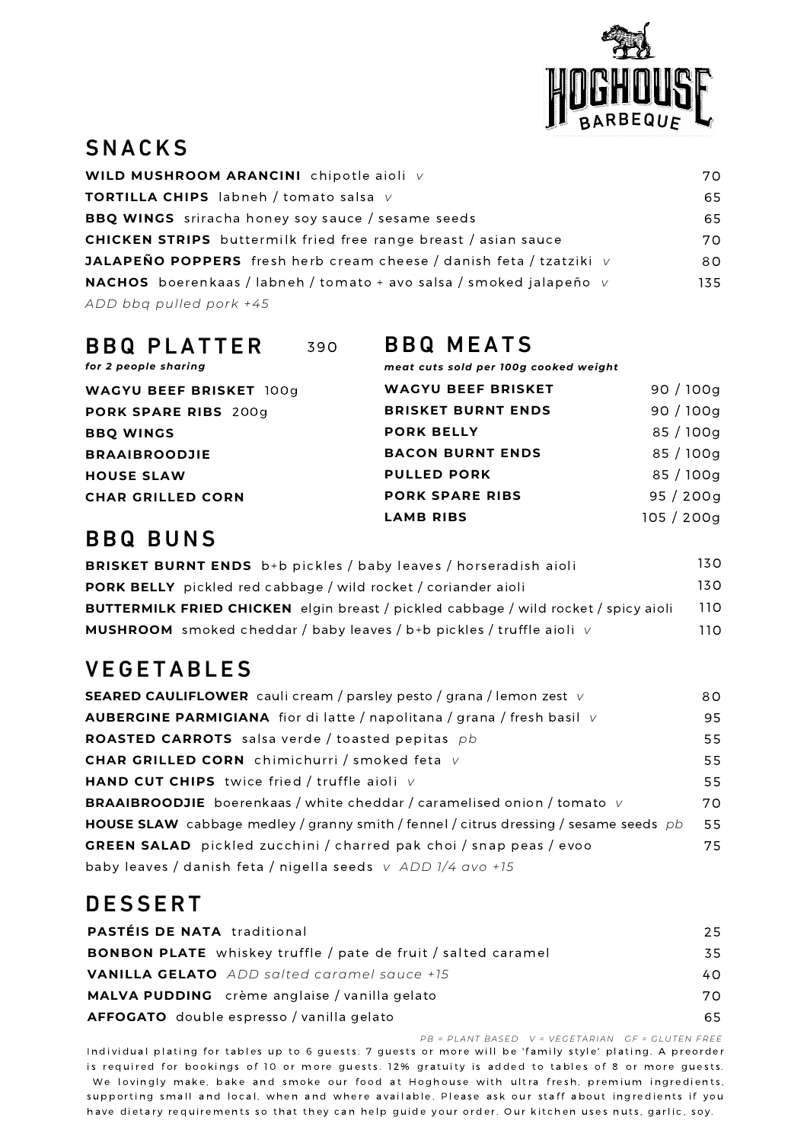

### SNACKS

| WILD MUSHROOM ARANCINI chipotle aioli v                                    | 70  |
|----------------------------------------------------------------------------|-----|
| <b>TORTILLA CHIPS</b> labneh / tomato salsa $V$                            | 65  |
| <b>BBQ WINGS</b> sriracha honey soy sauce / sesame seeds                   | 65  |
| <b>CHICKEN STRIPS</b> buttermilk fried free range breast / asian sauce     | 70. |
| <b>JALAPEÑO POPPERS</b> fresh herb cream cheese / danish feta / tzatziki v | 80  |
| NACHOS boerenkaas / labneh / tomato + avo salsa / smoked jalapeño v        | 135 |
| ADD bbq pulled pork +45                                                    |     |

| <b>BBQ PLATTER</b><br>for 2 people sharing | 390 | <b>BBQ MEATS</b><br>meat cuts sold per 100g cooked weight |            |
|--------------------------------------------|-----|-----------------------------------------------------------|------------|
| <b>WAGYU BEEF BRISKET 100g</b>             |     | <b>WAGYU BEEF BRISKET</b>                                 | 90/100g    |
| PORK SPARE RIBS 200g                       |     | <b>BRISKET BURNT ENDS</b>                                 | 90/100g    |
| <b>BBQ WINGS</b>                           |     | <b>PORK BELLY</b>                                         | 85/100g    |
| <b>BRAAIBROODJIE</b>                       |     | <b>BACON BURNT ENDS</b>                                   | 85/100g    |
| <b>HOUSE SLAW</b>                          |     | <b>PULLED PORK</b>                                        | 85/100g    |
| <b>CHAR GRILLED CORN</b>                   |     | <b>PORK SPARE RIBS</b>                                    | 95/200q    |
|                                            |     | <b>LAMB RIBS</b>                                          | 105 / 200g |

### **BBQ BUNS**

| <b>BRISKET BURNT ENDS</b> b+b pickles / baby leaves / horseradish aioli                    | 130. |
|--------------------------------------------------------------------------------------------|------|
| <b>PORK BELLY</b> pickled red cabbage / wild rocket / coriander aioli                      | 130. |
| <b>BUTTERMILK FRIED CHICKEN</b> elgin breast / pickled cabbage / wild rocket / spicy aioli | 110. |
| <b>MUSHROOM</b> smoked cheddar / baby leaves / b+b pickles / truffle aioli $\vee$          | 11 O |

### **VEGETABLES**

| <b>SEARED CAULIFLOWER</b> cauli cream / parsley pesto / grana / lemon zest v                 | 80 |
|----------------------------------------------------------------------------------------------|----|
| <b>AUBERGINE PARMIGIANA</b> fior di latte / napolitana / grana / fresh basil $\vee$          | 95 |
| <b>ROASTED CARROTS</b> salsa verde / toasted pepitas pb                                      | 55 |
| <b>CHAR GRILLED CORN</b> chimichurri / smoked feta v                                         | 55 |
| <b>HAND CUT CHIPS</b> twice fried / truffle aioli $V$                                        | 55 |
| <b>BRAAIBROODJIE</b> boerenkaas / white cheddar / caramelised onion / tomato $\vee$          | 70 |
| <b>HOUSE SLAW</b> cabbage medley / granny smith / fennel / citrus dressing / sesame seeds pb | 55 |
| <b>GREEN SALAD</b> pickled zucchini / charred pak choi / snap peas / evoo                    | 75 |
| baby leaves / danish feta / nigella seeds $v$ ADD $1/4$ avo +15                              |    |

## **DESSERT**

| <b>PASTÉIS DE NATA traditional</b>                                   | 25  |
|----------------------------------------------------------------------|-----|
| <b>BONBON PLATE</b> whiskey truffle / pate de fruit / salted caramel | 35  |
| <b>VANILLA GELATO</b> ADD salted caramel sauce +15                   | 40  |
| MALVA PUDDING crème anglaise / vanilla gelato                        | 70. |
| <b>AFFOGATO</b> double espresso / vanilla gelato                     | 65  |

PB = PLANT BASED V = VEGETARIAN GF = GLUTEN FREE

Individual plating for tables up to 6 guests. 7 guests or more will be 'family style' plating. A preorder is required for bookings of 10 or more guests. 12% gratuity is added to tables of 8 or more guests. We lovingly make, bake and smoke our food at Hoghouse with ultra fresh, premium ingredients, supporting small and local, when and where available. Please ask our staff about ingredients if you have dietary requirements so that they can help guide your order. Our kitchen uses nuts, garlic, soy.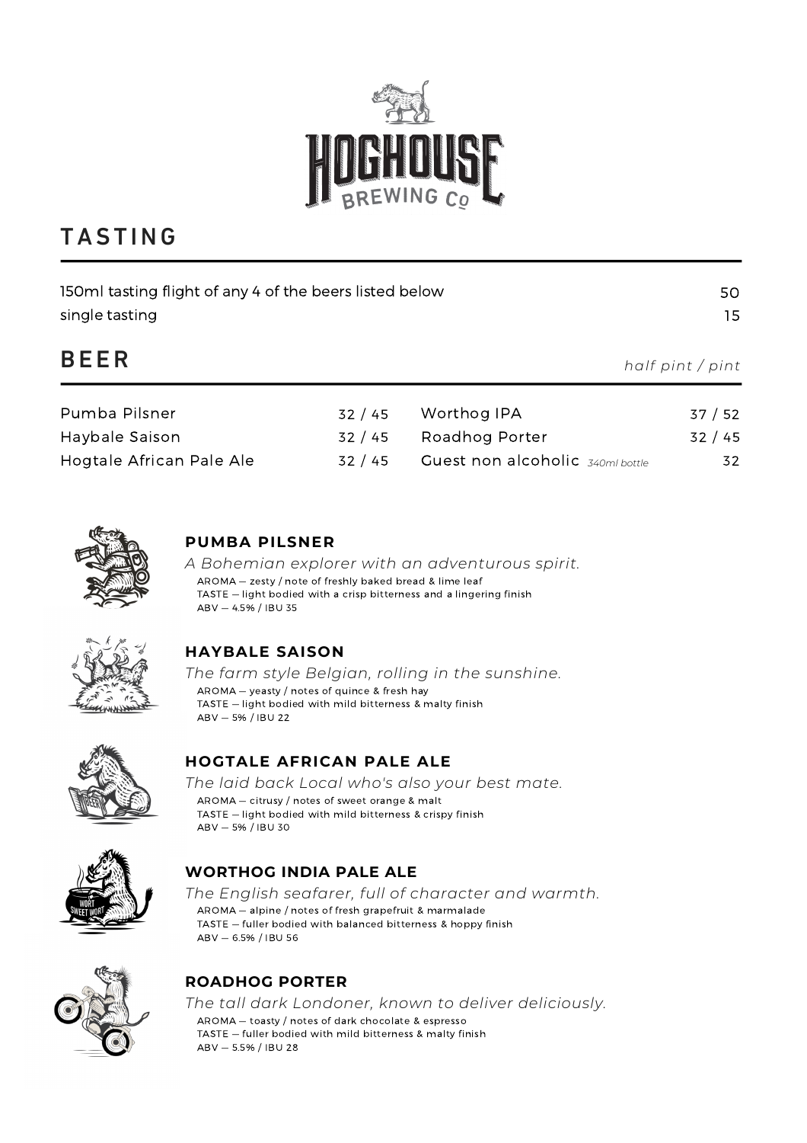

# **TASTING**

| 150ml tasting flight of any 4 of the beers listed below<br>single tasting |       |                                  | 50<br>15         |
|---------------------------------------------------------------------------|-------|----------------------------------|------------------|
| <b>BEER</b>                                                               |       |                                  | half pint / pint |
| Pumba Pilsner                                                             | 32/45 | Worthog IPA                      | 37/52            |
| Haybale Saison                                                            | 32/45 | Roadhog Porter                   | 32/45            |
| Hogtale African Pale Ale                                                  | 32/45 | Guest non alcoholic 340ml bottle | 32               |



#### **PUMBA PILSNER**

*A Bohemian explorer with an adventurous spirit.* AROMA — zesty / note of freshly baked bread & lime leaf TASTE — light bodied with a crisp bitterness and a lingering finish ABV — 4.5% / IBU 35



#### **HAYBALE SAISON**

*The farm style Belgian, rolling in the sunshine.* AROMA — yeasty / notes of quince & fresh hay TASTE — light bodied with mild bitterness & malty finish ABV — 5% / IBU 22



#### **HOGTALE AFRICAN PALE ALE**

*The laid back Local who's also your best mate.* AROMA — citrusy / notes of sweet orange & malt TASTE — light bodied with mild bitterness & crispy finish ABV — 5% / IBU 30



#### **WORTHOG INDIA PALE ALE**

*The English seafarer, full of character and warmth.* AROMA — alpine / notes of fresh grapefruit & marmalade TASTE — fuller bodied with balanced bitterness & hoppy finish ABV — 6.5% / IBU 56



#### **ROADHOG PORTER**

*The tall dark Londoner, known to deliver deliciously.* AROMA — toasty / notes of dark chocolate & espresso TASTE — fuller bodied with mild bitterness & malty finish ABV — 5.5% / IBU 28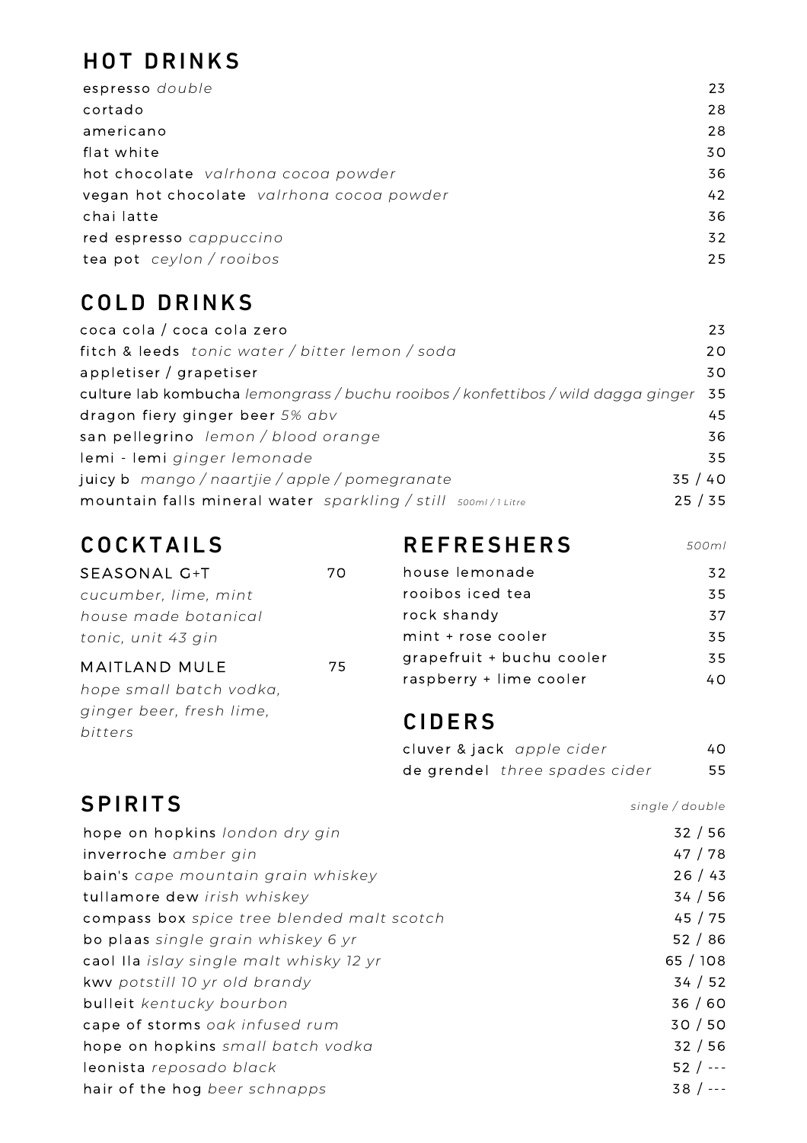## HOT DRINKS

| espresso double                           | 23 |
|-------------------------------------------|----|
| cortado                                   | 28 |
| americano                                 | 28 |
| flat white                                | 30 |
| hot chocolate valrhona cocoa powder       | 36 |
| vegan hot chocolate valrhona cocoa powder | 42 |
| chai latte                                | 36 |
| red espresso cappuccino                   | 32 |
| tea pot ceylon / rooibos                  | 25 |
|                                           |    |

## COLD DRINKS

| coca cola / coca cola zero                                                        | 23      |
|-----------------------------------------------------------------------------------|---------|
| fitch & leeds tonic water / bitter lemon / soda                                   | 20      |
| appletiser / grapetiser                                                           | 30      |
| culture lab kombucha lemongrass / buchu rooibos / konfettibos / wild dagga ginger | 35      |
| dragon fiery ginger beer 5% abv                                                   | 45.     |
| san pellegrino lemon / blood orange                                               | 36      |
| lemi - lemi ginger lemonade                                                       | 35      |
| juicy b mango / naartjie / apple / pomegranate                                    | 35 / 40 |
| mountain falls mineral water sparkling / still soom/1Litre                        | 25/35   |

# COCKTAILS

| SEASONAL G+T             | 70 |
|--------------------------|----|
| cucumber, lime, mint     |    |
| house made botanical     |    |
| tonic, unit 43 gin       |    |
|                          |    |
| MAITLAND MULE            | 75 |
| hope small batch vodka,  |    |
| ginger beer, fresh lime, |    |
| bitters                  |    |

### **REFRESHERS**

| <b>REFRESHERS</b>         | 500ml |
|---------------------------|-------|
| house lemonade            | 32    |
| rooibos iced tea          | 35    |
| rock shandy               | 37    |
| mint + rose cooler        | 35.   |
| grapefruit + buchu cooler | 35    |
| raspberry + lime cooler   | 40.   |

### **CIDERS**

| cluver & jack apple cider     | 40. |
|-------------------------------|-----|
| de grendel three spades cider | 55  |

# **SPIRITS**

*single / double*

| hope on hopkins london dry gin             | 32/56     |
|--------------------------------------------|-----------|
| inverroche amber gin                       | 47 / 78   |
| bain's cape mountain grain whiskey         | 26/43     |
| tullamore dew irish whiskey                | 34/56     |
| compass box spice tree blended malt scotch | 45/75     |
| bo plaas single grain whiskey 6 yr         | 52/86     |
| caol Ila islay single malt whisky 12 yr    | 65/108    |
| kwv potstill 10 yr old brandy              | 34 / 52   |
| bulleit kentucky bourbon                   | 36/60     |
| cape of storms oak infused rum             | 30/50     |
| hope on hopkins small batch vodka          | 32/56     |
| leonista reposado black                    | $52 / --$ |
| hair of the hog beer schnapps              | $38 / --$ |